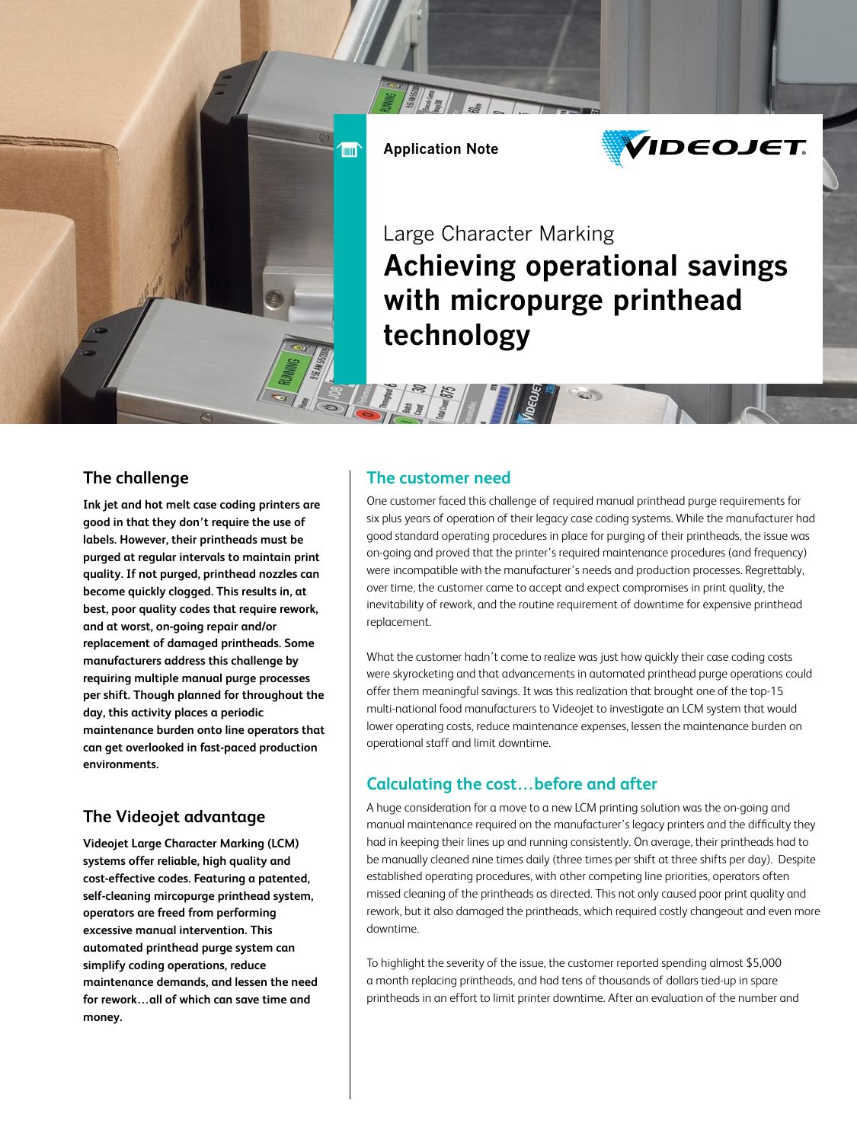

 $\overline{m}$ 



# Large Character Marking Achieving operational savings with micropurge printhead technology

#### **The challenge**

**Ink jet and hot melt case coding printers are good in that they don't require the use of labels. However, their printheads must be purged at regular intervals to maintain print quality. If not purged, printhead nozzles can become quickly clogged. This results in, at best, poor quality codes that require rework, and at worst, on-going repair and/or replacement of damaged printheads. Some manufacturers address this challenge by requiring multiple manual purge processes per shift. Though planned for throughout the day, this activity places a periodic maintenance burden onto line operators that can get overlooked in fast-paced production environments.**

### **The Videojet advantage**

**Videojet Large Character Marking (LCM) systems offer reliable, high quality and cost-effective codes. Featuring a patented, self-cleaning mircopurge printhead system, operators are freed from performing excessive manual intervention. This automated printhead purge system can simplify coding operations, reduce maintenance demands, and lessen the need for rework…all of which can save time and money.**

#### **The customer need**

**The Second Second Second Second** 

One customer faced this challenge of required manual printhead purge requirements for six plus years of operation of their legacy case coding systems. While the manufacturer had good standard operating procedures in place for purging of their printheads, the issue was on-going and proved that the printer's required maintenance procedures (and frequency) were incompatible with the manufacturer's needs and production processes. Regrettably, over time, the customer came to accept and expect compromises in print quality, the inevitability of rework, and the routine requirement of downtime for expensive printhead replacement.

What the customer hadn't come to realize was just how quickly their case coding costs were skyrocketing and that advancements in automated printhead purge operations could offer them meaningful savings. It was this realization that brought one of the top-15 multi-national food manufacturers to Videojet to investigate an LCM system that would lower operating costs, reduce maintenance expenses, lessen the maintenance burden on operational staff and limit downtime.

## **Calculating the cost…before and after**

A huge consideration for a move to a new LCM printing solution was the on-going and manual maintenance required on the manufacturer's legacy printers and the difficulty they had in keeping their lines up and running consistently. On average, their printheads had to be manually cleaned nine times daily (three times per shift at three shifts per day). Despite established operating procedures, with other competing line priorities, operators often missed cleaning of the printheads as directed. This not only caused poor print quality and rework, but it also damaged the printheads, which required costly changeout and even more downtime.

To highlight the severity of the issue, the customer reported spending almost \$5,000 a month replacing printheads, and had tens of thousands of dollars tied-up in spare printheads in an effort to limit printer downtime. After an evaluation of the number and